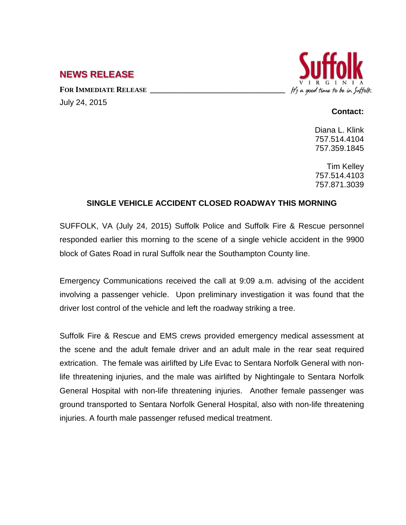## **NEWS RELEASE**

FOR **IMMEDIATE RELEASE** July 24, 2015



## **Contact:**

Diana L. Klink 757.514.4104 757.359.1845

Tim Kelley 757.514.4103 757.871.3039

## **SINGLE VEHICLE ACCIDENT CLOSED ROADWAY THIS MORNING**

SUFFOLK, VA (July 24, 2015) Suffolk Police and Suffolk Fire & Rescue personnel responded earlier this morning to the scene of a single vehicle accident in the 9900 block of Gates Road in rural Suffolk near the Southampton County line.

Emergency Communications received the call at 9:09 a.m. advising of the accident involving a passenger vehicle. Upon preliminary investigation it was found that the driver lost control of the vehicle and left the roadway striking a tree.

Suffolk Fire & Rescue and EMS crews provided emergency medical assessment at the scene and the adult female driver and an adult male in the rear seat required extrication. The female was airlifted by Life Evac to Sentara Norfolk General with nonlife threatening injuries, and the male was airlifted by Nightingale to Sentara Norfolk General Hospital with non-life threatening injuries. Another female passenger was ground transported to Sentara Norfolk General Hospital, also with non-life threatening injuries. A fourth male passenger refused medical treatment.